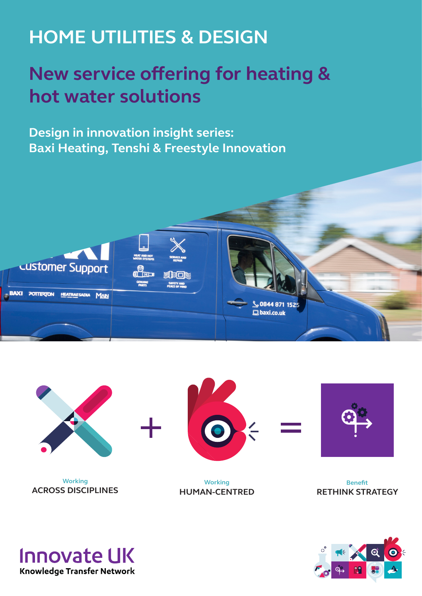# **HOME UTILITIES & DESIGN**

## **New service offering for heating & hot water solutions**

**Design in innovation insight series: Baxi Heating, Tenshi & Freestyle Innovation**





**Working ACROSS DISCIPLINES**



**Working HUMAN-CENTRED**



**Benefit RETHINK STRATEGY**